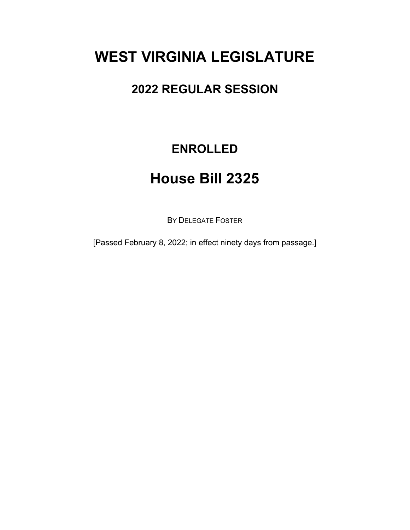# **WEST VIRGINIA LEGISLATURE**

### **2022 REGULAR SESSION**

## **ENROLLED**

## **House Bill 2325**

BY DELEGATE FOSTER

[Passed February 8, 2022; in effect ninety days from passage.]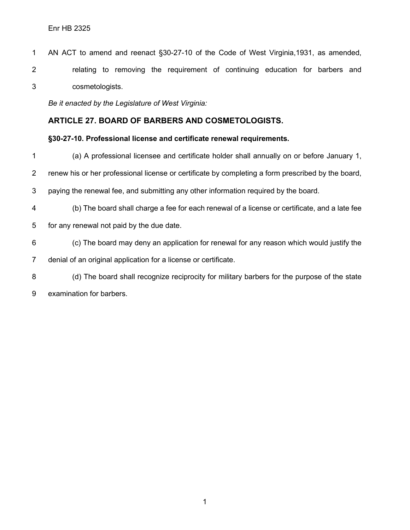AN ACT to amend and reenact §30-27-10 of the Code of West Virginia,1931, as amended, relating to removing the requirement of continuing education for barbers and cosmetologists.

*Be it enacted by the Legislature of West Virginia:*

#### **ARTICLE 27. BOARD OF BARBERS AND COSMETOLOGISTS.**

#### **§30-27-10. Professional license and certificate renewal requirements.**

- (a) A professional licensee and certificate holder shall annually on or before January 1,
- renew his or her professional license or certificate by completing a form prescribed by the board,
- paying the renewal fee, and submitting any other information required by the board.
- (b) The board shall charge a fee for each renewal of a license or certificate, and a late fee
- for any renewal not paid by the due date.
- (c) The board may deny an application for renewal for any reason which would justify the
- denial of an original application for a license or certificate.
- (d) The board shall recognize reciprocity for military barbers for the purpose of the state
- examination for barbers.